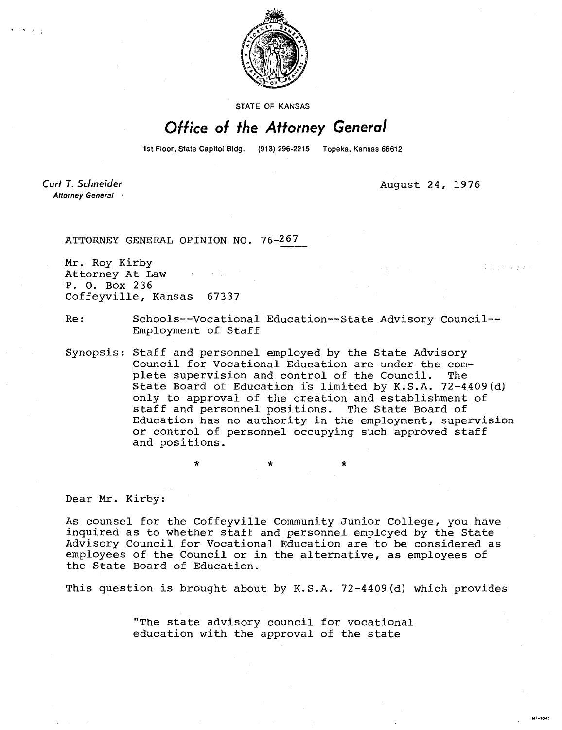

STATE OF KANSAS

## Office of the Attorney General

1st Floor, State Capitol Bldg. (913) 296-2215 Topeka, Kansas 66612

Curt T. Schneider Attorney General August 24, 1976

ATTORNEY GENERAL OPINION NO. 76-267

Mr. Roy Kirby Attorney At Law P. 0. Box 236 Coffeyville, Kansas 67337

Re: Schools--Vocational Education--State Advisory Council-- Employment of Staff

Synopsis: Staff and personnel employed by the State Advisory Council for Vocational Education are under the complete supervision and control of the Council. The State Board of Education is limited by K.S.A. 72-4409(d) only to approval of the creation and establishment of staff and personnel positions. The State Board of Education has no authority in the employment, supervision or control of personnel occupying such approved staff and positions.

Dear Mr. Kirby:

As counsel for the Coffeyville Community Junior College, you have inquired as to whether staff and personnel employed by the State Advisory Council for Vocational Education are to be considered as employees of the Council or in the alternative, as employees of the State Board of Education.

This question is brought about by K.S.A. 72-4409(d) which provides

"The state advisory council for vocational education with the approval of the state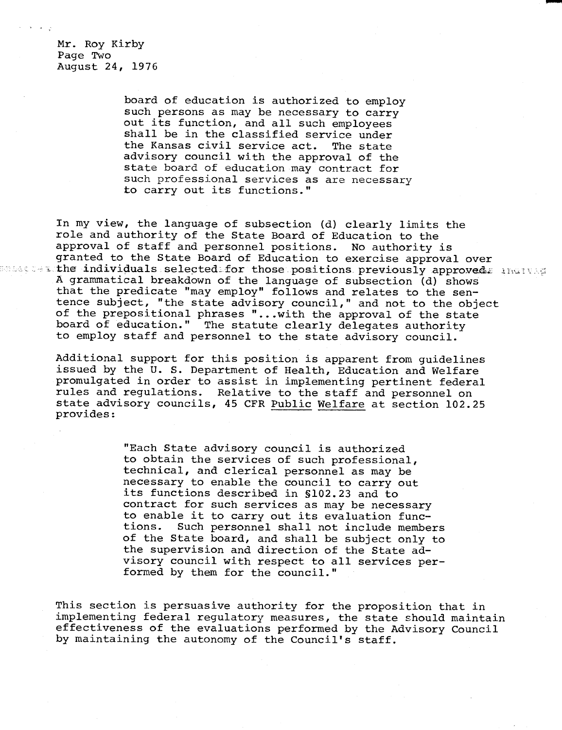Mr. Roy Kirby Page Two August 24, 1976

> board of education is authorized to employ such persons as may be necessary to carry out its function, and all such employees shall be in the classified service under the Kansas civil service act. The state advisory council with the approval of the state board of education may contract for such professional services as are necessary to carry out its functions."

In my view, the language of subsection (d) clearly limits the role and authority of the State Board of Education to the approval of staff and personnel positions. No authority is granted to the State Board of Education to exercise approval over atter individuals selected for those positions previously approved. Individ A grammatical breakdown of the language of subsection (d) shows that the predicate "may employ" follows and relates to the sentence subject, "the state advisory council," and not to the object of the prepositional phrases "...with the approval of the state board of education." The statute clearly delegates authority to employ staff and personnel to the state advisory council.

Additional support for this position is apparent from guidelines issued by the U. S. Department of Health, Education and Welfare promulgated in order to assist in implementing pertinent federal rules and regulations. Relative to the staff and personnel on state advisory councils, 45 CFR Public Welfare at section 102.25 provides:

> "Each State advisory council is authorized to obtain the services of such professional, technical, and clerical personnel as may be necessary to enable the council to carry out its functions described in §102.23 and to contract for such services as may be necessary to enable it to carry out its evaluation functions. Such personnel shall not include members of the State board, and shall be subject only to the supervision and direction of the State advisory council with respect to all services performed by them for the council."

This section is persuasive authority for the proposition that in implementing federal regulatory measures, the state should maintain effectiveness of the evaluations performed by the Advisory Council by maintaining the autonomy of the Council's staff.